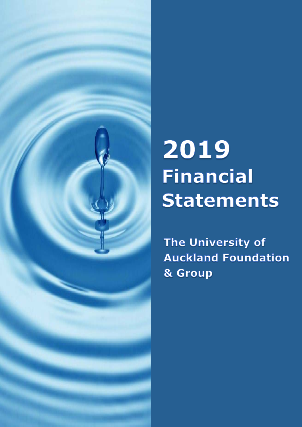

# 2019 **Financial Statements**

The University of **Auckland Foundation** & Group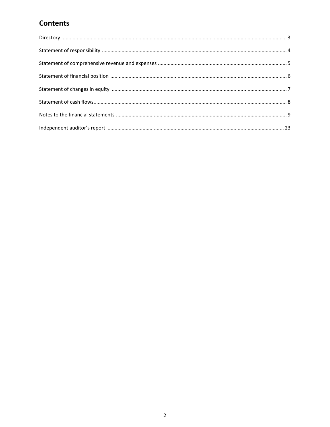# **Contents**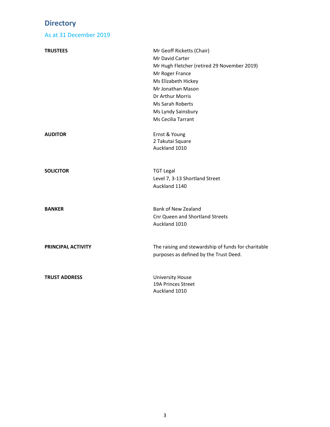# **Directory**

## As at 31 December 2019

| <b>TRUSTEES</b>      | Mr Geoff Ricketts (Chair)                           |
|----------------------|-----------------------------------------------------|
|                      | Mr David Carter                                     |
|                      | Mr Hugh Fletcher (retired 29 November 2019)         |
|                      | Mr Roger France                                     |
|                      | Ms Elizabeth Hickey                                 |
|                      | Mr Jonathan Mason                                   |
|                      | Dr Arthur Morris                                    |
|                      | Ms Sarah Roberts                                    |
|                      | Ms Lyndy Sainsbury                                  |
|                      | Ms Cecilia Tarrant                                  |
| <b>AUDITOR</b>       | Ernst & Young                                       |
|                      | 2 Takutai Square                                    |
|                      | Auckland 1010                                       |
| <b>SOLICITOR</b>     | <b>TGT Legal</b>                                    |
|                      | Level 7, 3-13 Shortland Street                      |
|                      | Auckland 1140                                       |
|                      |                                                     |
| <b>BANKER</b>        | <b>Bank of New Zealand</b>                          |
|                      | <b>Cnr Queen and Shortland Streets</b>              |
|                      | Auckland 1010                                       |
|                      |                                                     |
| PRINCIPAL ACTIVITY   | The raising and stewardship of funds for charitable |
|                      | purposes as defined by the Trust Deed.              |
| <b>TRUST ADDRESS</b> | <b>University House</b>                             |
|                      | 19A Princes Street                                  |
|                      | Auckland 1010                                       |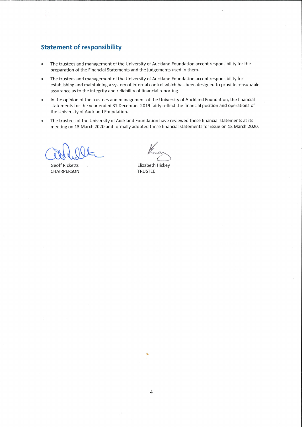## **Statement of responsibility**

- The trustees and management of the University of Auckland Foundation accept responsibility for the preparation of the Financial Statements and the judgements used in them.
- The trustees and management of the University of Auckland Foundation accept responsibility for  $\bullet$ establishing and maintaining a system of internal control which has been designed to provide reasonable assurance as to the integrity and reliability of financial reporting.
- In the opinion of the trustees and management of the University of Auckland Foundation, the financial  $\bullet$ statements for the year ended 31 December 2019 fairly reflect the financial position and operations of the University of Auckland Foundation.
- The trustees of the University of Auckland Foundation have reviewed these financial statements at its  $\bullet$ meeting on 13 March 2020 and formally adopted these financial statements for issue on 13 March 2020.

**Geoff Ricketts** CHAIRPERSON

Elizabeth Hickey **TRUSTEE**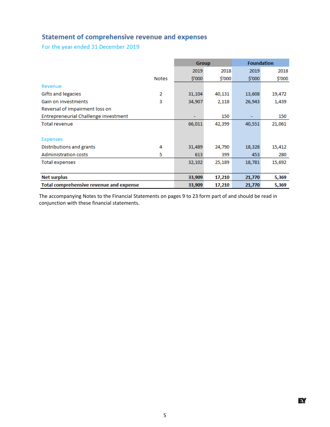# **Statement of comprehensive revenue and expenses**

For the year ended 31 December 2019

|                                         |              | <b>Group</b> |        | <b>Foundation</b> |        |
|-----------------------------------------|--------------|--------------|--------|-------------------|--------|
|                                         |              | 2019         | 2018   | 2019              | 2018   |
|                                         | <b>Notes</b> | \$'000       | \$'000 | \$'000            | \$'000 |
| Revenue                                 |              |              |        |                   |        |
| Gifts and legacies                      | 2            | 31,104       | 40,131 | 13,608            | 19,472 |
| Gain on investments                     | 3            | 34,907       | 2,118  | 26,943            | 1,439  |
| Reversal of impairment loss on          |              |              |        |                   |        |
| Entrepreneurial Challenge investment    |              |              | 150    |                   | 150    |
| <b>Total revenue</b>                    |              | 66,011       | 42,399 | 40,551            | 21,061 |
|                                         |              |              |        |                   |        |
| <b>Expenses</b>                         |              |              |        |                   |        |
| Distributions and grants                | 4            | 31,489       | 24,790 | 18,328            | 15,412 |
| <b>Administration costs</b>             | 5            | 613          | 399    | 453               | 280    |
| Total expenses                          |              | 32,102       | 25,189 | 18,781            | 15,692 |
|                                         |              |              |        |                   |        |
| <b>Net surplus</b>                      |              | 33,909       | 17,210 | 21,770            | 5,369  |
| Total comprehensive revenue and expense |              | 33,909       | 17,210 | 21,770            | 5,369  |

The accompanying Notes to the Financial Statements on pages 9 to 23 form part of and should be read in conjunction with these financial statements.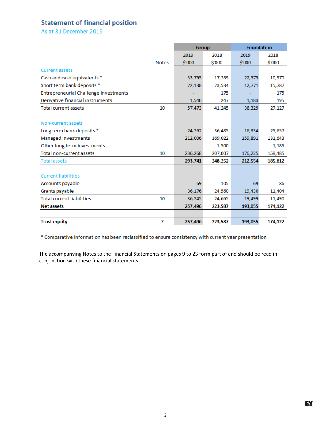# **Statement of financial position**

As at 31 December 2019

|                                              |              | <b>Group</b> |         | <b>Foundation</b> |         |
|----------------------------------------------|--------------|--------------|---------|-------------------|---------|
|                                              |              | 2019         | 2018    | 2019              | 2018    |
|                                              | <b>Notes</b> | \$'000       | \$'000  | \$'000            | \$'000  |
| <b>Current assets</b>                        |              |              |         |                   |         |
| Cash and cash equivalents *                  |              | 33,795       | 17,289  | 22,375            | 10,970  |
| Short term bank deposits *                   |              | 22,138       | 23,534  | 12,771            | 15,787  |
| <b>Entrepreneurial Challenge investments</b> |              |              | 175     |                   | 175     |
| Derivative financial instruments             |              | 1,540        | 247     | 1,183             | 195     |
| <b>Total current assets</b>                  | 10           | 57,473       | 41,245  | 36,329            | 27,127  |
|                                              |              |              |         |                   |         |
| Non-current assets                           |              |              |         |                   |         |
| Long term bank deposits *                    |              | 24,262       | 36,485  | 16,334            | 25,657  |
| Managed investments                          |              | 212,006      | 169,022 | 159,891           | 131,643 |
| Other long term investments                  |              |              | 1,500   |                   | 1,185   |
| <b>Total non-current assets</b>              | 10           | 236,268      | 207,007 | 176,225           | 158,485 |
| <b>Total assets</b>                          |              | 293,741      | 248,252 | 212,554           | 185,612 |
|                                              |              |              |         |                   |         |
| <b>Current liabilities</b>                   |              |              |         |                   |         |
| Accounts payable                             |              | 69           | 105     | 69                | 86      |
| Grants payable                               |              | 36,176       | 24,560  | 19,430            | 11,404  |
| <b>Total current liabilities</b>             | 10           | 36,245       | 24,665  | 19,499            | 11,490  |
| <b>Net assets</b>                            |              | 257,496      | 223,587 | 193,055           | 174,122 |
|                                              |              |              |         |                   |         |
| <b>Trust equity</b>                          | 7            | 257,496      | 223,587 | 193,055           | 174,122 |

\* Comparative information has been reclassified to ensure consistency with current year presentation

The accompanying Notes to the Financial Statements on pages 9 to 23 form part of and should be read in conjunction with these financial statements.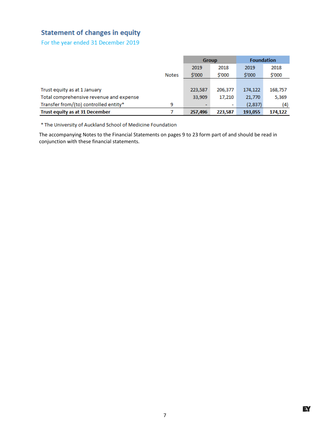# **Statement of changes in equity**

For the year ended 31 December 2019

|                                         |              | <b>Group</b> |         | <b>Foundation</b> |         |
|-----------------------------------------|--------------|--------------|---------|-------------------|---------|
|                                         |              | 2019         | 2018    | 2019              | 2018    |
|                                         | <b>Notes</b> | \$'000       | \$'000  | \$'000            | \$'000  |
|                                         |              |              |         |                   |         |
| Trust equity as at 1 January            |              | 223,587      | 206.377 | 174,122           | 168,757 |
| Total comprehensive revenue and expense |              | 33,909       | 17,210  | 21,770            | 5,369   |
| Transfer from/(to) controlled entity*   | 9            |              |         | (2,837)           | (4)     |
| Trust equity as at 31 December          |              | 257,496      | 223,587 | 193,055           | 174,122 |

\* The University of Auckland School of Medicine Foundation

The accompanying Notes to the Financial Statements on pages 9 to 23 form part of and should be read in conjunction with these financial statements.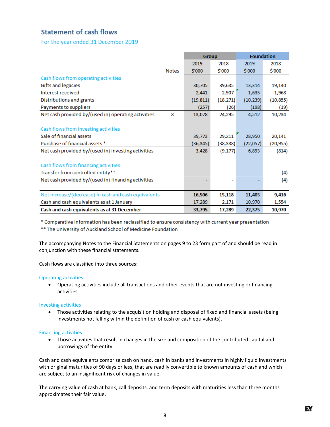## **Statement of cash flows**

For the year ended 31 December 2019

|                                                      |              | <b>Group</b> |           | <b>Foundation</b> |           |
|------------------------------------------------------|--------------|--------------|-----------|-------------------|-----------|
|                                                      |              | 2019         | 2018      | 2019              | 2018      |
|                                                      | <b>Notes</b> | \$'000       | \$'000    | \$'000            | \$'000    |
| Cash flows from operating activities                 |              |              |           |                   |           |
| Gifts and legacies                                   |              | 30,705       | 39,685    | 13,314            | 19,140    |
| Interest received                                    |              | 2,441        | 2,907     | 1,635             | 1,968     |
| Distributions and grants                             |              | (19, 811)    | (18, 271) | (10, 239)         | (10, 855) |
| Payments to suppliers                                |              | (257)        | (26)      | (198)             | (19)      |
| Net cash provided by/(used in) operating activities  | 8            | 13,078       | 24,295    | 4,512             | 10,234    |
|                                                      |              |              |           |                   |           |
| Cash flows from investing activities                 |              |              |           |                   |           |
| Sale of financial assets                             |              | 39,773       | 29,211    | 28,950            | 20,141    |
| Purchase of financial assets *                       |              | (36,345)     | (38,388)  | (22,057)          | (20,955)  |
| Net cash provided by/(used in) investing activities  |              | 3,428        | (9, 177)  | 6,893             | (814)     |
|                                                      |              |              |           |                   |           |
| Cash flows from financing activities                 |              |              |           |                   |           |
| Transfer from controlled entity**                    |              |              |           |                   | (4)       |
| Net cash provided by/(used in) financing activities  |              |              |           |                   | (4)       |
|                                                      |              |              |           |                   |           |
| Net increase/(decrease) in cash and cash equivalents |              | 16,506       | 15,118    | 11,405            | 9,416     |
| Cash and cash equivalents as at 1 January            |              | 17,289       | 2,171     | 10,970            | 1,554     |
| Cash and cash equivalents as at 31 December          |              | 33,795       | 17,289    | 22,375            | 10,970    |

\* Comparative information has been reclassified to ensure consistency with current year presentation \*\* The University of Auckland School of Medicine Foundation

The accompanying Notes to the Financial Statements on pages 9 to 23 form part of and should be read in conjunction with these financial statements.

Cash flows are classified into three sources:

## Operating activities

 Operating activities include all transactions and other events that are not investing or financing activities

#### Investing activities

 Those activities relating to the acquisition holding and disposal of fixed and financial assets (being investments not falling within the definition of cash or cash equivalents).

#### Financing activities

 Those activities that result in changes in the size and composition of the contributed capital and borrowings of the entity.

Cash and cash equivalents comprise cash on hand, cash in banks and investments in highly liquid investments with original maturities of 90 days or less, that are readily convertible to known amounts of cash and which are subject to an insignificant risk of changes in value.

The carrying value of cash at bank, call deposits, and term deposits with maturities less than three months approximates their fair value.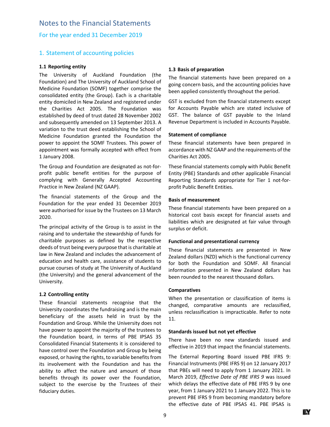## Notes to the Financial Statements

For the year ended 31 December 2019

## 1. Statement of accounting policies

#### **1.1 Reporting entity**

The University of Auckland Foundation (the Foundation) and The University of Auckland School of Medicine Foundation (SOMF) together comprise the consolidated entity (the Group). Each is a charitable entity domiciled in New Zealand and registered under the Charities Act 2005. The Foundation was established by deed of trust dated 28 November 2002 and subsequently amended on 13 September 2013. A variation to the trust deed establishing the School of Medicine Foundation granted the Foundation the power to appoint the SOMF Trustees. This power of appointment was formally accepted with effect from 1 January 2008.

The Group and Foundation are designated as not‐for‐ profit public benefit entities for the purpose of complying with Generally Accepted Accounting Practice in New Zealand (NZ GAAP).

The financial statements of the Group and the Foundation for the year ended 31 December 2019 were authorised for issue by the Trustees on 13 March 2020.

The principal activity of the Group is to assist in the raising and to undertake the stewardship of funds for charitable purposes as defined by the respective deeds of trust being every purpose that is charitable at law in New Zealand and includes the advancement of education and health care, assistance of students to pursue courses of study at The University of Auckland (the University) and the general advancement of the University.

## **1.2 Controlling entity**

These financial statements recognise that the University coordinates the fundraising and is the main beneficiary of the assets held in trust by the Foundation and Group. While the University does not have power to appoint the majority of the trustees to the Foundation board, in terms of PBE IPSAS 35 Consolidated Financial Statements it is considered to have control over the Foundation and Group by being exposed, or having the rights, to variable benefits from its involvement with the Foundation and has the ability to affect the nature and amount of those benefits through its power over the Foundation, subject to the exercise by the Trustees of their fiduciary duties.

## **1.3 Basis of preparation**

The financial statements have been prepared on a going concern basis, and the accounting policies have been applied consistently throughout the period.

GST is excluded from the financial statements except for Accounts Payable which are stated inclusive of GST. The balance of GST payable to the Inland Revenue Department is included in Accounts Payable.

## **Statement of compliance**

These financial statements have been prepared in accordance with NZ GAAP and the requirements of the Charities Act 2005.

These financial statements comply with Public Benefit Entity (PBE) Standards and other applicable Financial Reporting Standards appropriate for Tier 1 not‐for‐ profit Public Benefit Entities.

#### **Basis of measurement**

These financial statements have been prepared on a historical cost basis except for financial assets and liabilities which are designated at fair value through surplus or deficit.

## **Functional and presentational currency**

These financial statements are presented in New Zealand dollars (NZD) which is the functional currency for both the Foundation and SOMF. All financial information presented in New Zealand dollars has been rounded to the nearest thousand dollars.

#### **Comparatives**

When the presentation or classification of items is changed, comparative amounts are reclassified, unless reclassification is impracticable. Refer to note 11.

#### **Standards issued but not yet effective**

There have been no new standards issued and effective in 2019 that impact the financial statements.

The External Reporting Board issued PBE IFRS 9: Financial Instruments (PBE IFRS 9) on 12 January 2017 that PBEs will need to apply from 1 January 2021. In March 2019, *Effective Date of PBE IFRS 9* was issued which delays the effective date of PBE IFRS 9 by one year, from 1 January 2021 to 1 January 2022. This is to prevent PBE IFRS 9 from becoming mandatory before the effective date of PBE IPSAS 41. PBE IPSAS is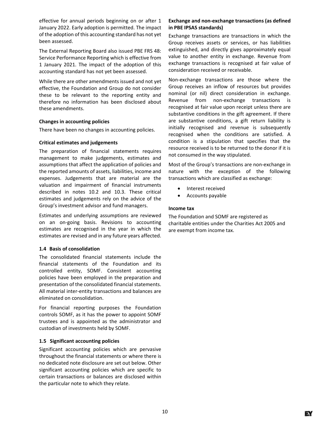effective for annual periods beginning on or after 1 January 2022. Early adoption is permitted. The impact of the adoption of this accounting standard has not yet been assessed.

The External Reporting Board also issued PBE FRS 48: Service Performance Reporting which is effective from 1 January 2021. The impact of the adoption of this accounting standard has not yet been assessed.

While there are other amendments issued and not yet effective, the Foundation and Group do not consider these to be relevant to the reporting entity and therefore no information has been disclosed about these amendments.

## **Changes in accounting policies**

There have been no changes in accounting policies.

## **Critical estimates and judgements**

The preparation of financial statements requires management to make judgements, estimates and assumptions that affect the application of policies and the reported amounts of assets, liabilities, income and expenses. Judgements that are material are the valuation and impairment of financial instruments described in notes 10.2 and 10.3. These critical estimates and judgements rely on the advice of the Group's investment advisor and fund managers.

Estimates and underlying assumptions are reviewed on an on‐going basis. Revisions to accounting estimates are recognised in the year in which the estimates are revised and in any future years affected.

## **1.4 Basis of consolidation**

The consolidated financial statements include the financial statements of the Foundation and its controlled entity, SOMF. Consistent accounting policies have been employed in the preparation and presentation of the consolidated financial statements. All material inter‐entity transactions and balances are eliminated on consolidation.

For financial reporting purposes the Foundation controls SOMF, as it has the power to appoint SOMF trustees and is appointed as the administrator and custodian of investments held by SOMF.

## **1.5 Significant accounting policies**

Significant accounting policies which are pervasive throughout the financial statements or where there is no dedicated note disclosure are set out below. Other significant accounting policies which are specific to certain transactions or balances are disclosed within the particular note to which they relate.

## **Exchange and non‐exchange transactions (as defined in PBE IPSAS standards)**

Exchange transactions are transactions in which the Group receives assets or services, or has liabilities extinguished, and directly gives approximately equal value to another entity in exchange. Revenue from exchange transactions is recognised at fair value of consideration received or receivable.

Non‐exchange transactions are those where the Group receives an inflow of resources but provides nominal (or nil) direct consideration in exchange. Revenue from non-exchange transactions is recognised at fair value upon receipt unless there are substantive conditions in the gift agreement. If there are substantive conditions, a gift return liability is initially recognised and revenue is subsequently recognised when the conditions are satisfied. A condition is a stipulation that specifies that the resource received is to be returned to the donor if it is not consumed in the way stipulated.

Most of the Group's transactions are non‐exchange in nature with the exception of the following transactions which are classified as exchange:

- Interest received
- Accounts payable

## **Income tax**

The Foundation and SOMF are registered as charitable entities under the Charities Act 2005 and are exempt from income tax.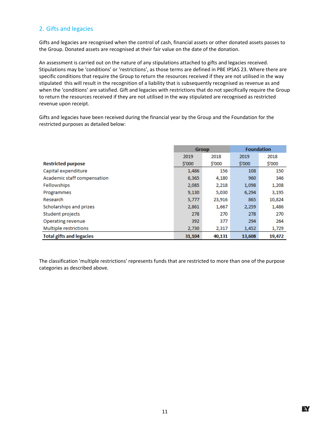## 2. Gifts and legacies

Gifts and legacies are recognised when the control of cash, financial assets or other donated assets passes to the Group. Donated assets are recognised at their fair value on the date of the donation.

An assessment is carried out on the nature of any stipulations attached to gifts and legacies received. Stipulations may be 'conditions' or 'restrictions', as those terms are defined in PBE IPSAS 23. Where there are specific conditions that require the Group to return the resources received if they are not utilised in the way stipulated this will result in the recognition of a liability that is subsequently recognised as revenue as and when the 'conditions' are satisfied. Gift and legacies with restrictions that do not specifically require the Group to return the resources received if they are not utilised in the way stipulated are recognised as restricted revenue upon receipt.

Gifts and legacies have been received during the financial year by the Group and the Foundation for the restricted purposes as detailed below:

|                                 | <b>Group</b> |        | <b>Foundation</b> |        |
|---------------------------------|--------------|--------|-------------------|--------|
|                                 | 2019         | 2018   | 2019              | 2018   |
| <b>Restricted purpose</b>       | \$'000       | \$'000 | \$'000            | \$'000 |
| Capital expenditure             | 1,486        | 156    | 108               | 150    |
| Academic staff compensation     | 6,365        | 4,180  | 960               | 346    |
| Fellowships                     | 2,085        | 2,218  | 1,098             | 1,208  |
| Programmes                      | 9,130        | 5,030  | 6,294             | 3,195  |
| Research                        | 5,777        | 23,916 | 865               | 10,824 |
| Scholarships and prizes         | 2,861        | 1,667  | 2,259             | 1,486  |
| Student projects                | 278          | 270    | 278               | 270    |
| Operating revenue               | 392          | 377    | 294               | 264    |
| Multiple restrictions           | 2,730        | 2,317  | 1,452             | 1,729  |
| <b>Total gifts and legacies</b> | 31,104       | 40.131 | 13,608            | 19,472 |

The classification 'multiple restrictions' represents funds that are restricted to more than one of the purpose categories as described above.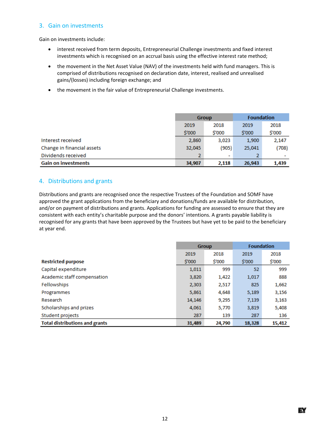## 3. Gain on investments

Gain on investments include:

- interest received from term deposits, Entrepreneurial Challenge investments and fixed interest investments which is recognised on an accrual basis using the effective interest rate method;
- the movement in the Net Asset Value (NAV) of the investments held with fund managers. This is comprised of distributions recognised on declaration date, interest, realised and unrealised gains/(losses) including foreign exchange; and
- the movement in the fair value of Entrepreneurial Challenge investments.

| Group  |        | <b>Foundation</b> |        |
|--------|--------|-------------------|--------|
| 2019   | 2018   | 2019              | 2018   |
| \$'000 | \$'000 | \$'000            | \$'000 |
| 2,860  | 3,023  | 1,900             | 2,147  |
| 32,045 | (905)  | 25,041            | (708)  |
|        | ٠      |                   |        |
| 34,907 | 2,118  | 26,943            | 1,439  |

## 4. Distributions and grants

Distributions and grants are recognised once the respective Trustees of the Foundation and SOMF have approved the grant applications from the beneficiary and donations/funds are available for distribution, and/or on payment of distributions and grants. Applications for funding are assessed to ensure that they are consistent with each entity's charitable purpose and the donors' intentions. A grants payable liability is recognised for any grants that have been approved by the Trustees but have yet to be paid to the beneficiary at year end.

|                                       | <b>Group</b> |        | <b>Foundation</b> |        |
|---------------------------------------|--------------|--------|-------------------|--------|
|                                       | 2019         | 2018   | 2019              | 2018   |
| <b>Restricted purpose</b>             | \$'000       | \$'000 | \$'000            | \$'000 |
| Capital expenditure                   | 1,011        | 999    | 52                | 999    |
| Academic staff compensation           | 3,820        | 1,422  | 1,017             | 888    |
| <b>Fellowships</b>                    | 2,303        | 2,517  | 825               | 1,662  |
| Programmes                            | 5,861        | 4,648  | 5,189             | 3,156  |
| Research                              | 14,146       | 9,295  | 7,139             | 3,163  |
| Scholarships and prizes               | 4,061        | 5,770  | 3,819             | 5,408  |
| Student projects                      | 287          | 139    | 287               | 136    |
| <b>Total distributions and grants</b> | 31,489       | 24,790 | 18,328            | 15,412 |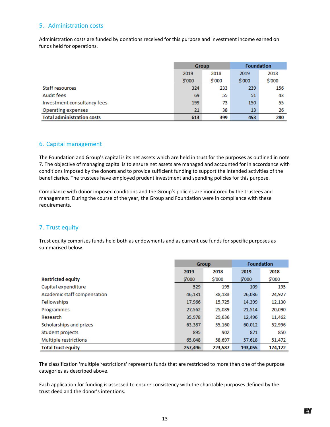## 5. Administration costs

Administration costs are funded by donations received for this purpose and investment income earned on funds held for operations.

|                                   | <b>Group</b> |        | <b>Foundation</b> |        |
|-----------------------------------|--------------|--------|-------------------|--------|
|                                   | 2019         | 2018   | 2019              | 2018   |
|                                   | \$'000       | \$'000 | \$'000            | \$'000 |
| Staff resources                   | 324          | 233    | 239               | 156    |
| Audit fees                        | 69           | 55     | 51                | 43     |
| Investment consultancy fees       | 199          | 73     | 150               | 55     |
| <b>Operating expenses</b>         | 21           | 38     | 13                | 26     |
| <b>Total administration costs</b> | 613          | 399    | 453               | 280    |

## 6. Capital management

The Foundation and Group's capital is its net assets which are held in trust for the purposes as outlined in note 7. The objective of managing capital is to ensure net assets are managed and accounted for in accordance with conditions imposed by the donors and to provide sufficient funding to support the intended activities of the beneficiaries. The trustees have employed prudent investment and spending policies for this purpose.

Compliance with donor imposed conditions and the Group's policies are monitored by the trustees and management. During the course of the year, the Group and Foundation were in compliance with these requirements.

## 7. Trust equity

Trust equity comprises funds held both as endowments and as current use funds for specific purposes as summarised below.

|                             | <b>Group</b> |         | <b>Foundation</b> |         |
|-----------------------------|--------------|---------|-------------------|---------|
|                             | 2019         | 2018    | 2019              | 2018    |
| <b>Restricted equity</b>    | \$'000       | \$'000  | \$'000            | \$'000  |
| Capital expenditure         | 529          | 195     | 109               | 195     |
| Academic staff compensation | 46,131       | 38,183  | 26,036            | 24,927  |
| Fellowships                 | 17,966       | 15,725  | 14,399            | 12,130  |
| Programmes                  | 27,562       | 25,089  | 21,514            | 20,090  |
| Research                    | 35,978       | 29,636  | 12,496            | 11,462  |
| Scholarships and prizes     | 63,387       | 55,160  | 60,012            | 52,996  |
| Student projects            | 895          | 902     | 871               | 850     |
| Multiple restrictions       | 65.048       | 58,697  | 57,618            | 51,472  |
| <b>Total trust equity</b>   | 257,496      | 223,587 | 193,055           | 174,122 |

The classification 'multiple restrictions' represents funds that are restricted to more than one of the purpose categories as described above.

Each application for funding is assessed to ensure consistency with the charitable purposes defined by the trust deed and the donor's intentions.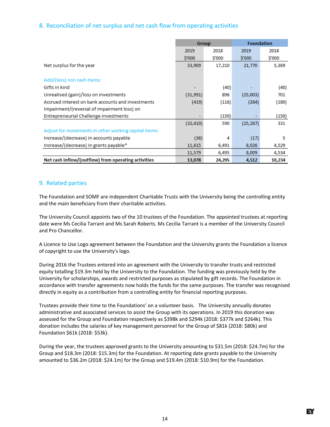## 8. Reconciliation of net surplus and net cash flow from operating activities

|                                                      | <b>Group</b>             |        | <b>Foundation</b> |        |
|------------------------------------------------------|--------------------------|--------|-------------------|--------|
|                                                      | 2019                     | 2018   | 2019              | 2018   |
|                                                      | \$'000                   | \$'000 | \$'000            | \$'000 |
| Net surplus for the year                             | 33,909                   | 17,210 | 21,770            | 5,369  |
|                                                      |                          |        |                   |        |
| Add/(less) non cash items:                           |                          |        |                   |        |
| Gifts in kind                                        | $\overline{\phantom{a}}$ | (40)   |                   | (40)   |
| Unrealised (gain)/loss on investments                | (31, 991)                | 896    | (25,003)          | 701    |
| Accrued interest on bank accounts and investments    | (419)                    | (116)  | (264)             | (180)  |
| Impairment/(reversal of impairment loss) on          |                          |        |                   |        |
| <b>Entrepreneurial Challenge investments</b>         |                          | (150)  |                   | (150)  |
|                                                      | (32, 410)                | 590    | (25, 267)         | 331    |
| Adjust for movements in other working capital items: |                          |        |                   |        |
| Increase/(decrease) in accounts payable              | (36)                     | 4      | (17)              | 5      |
| Increase/(decrease) in grants payable*               | 11,615                   | 6,491  | 8,026             | 4,529  |
|                                                      | 11,579                   | 6,495  | 8,009             | 4,534  |
| Net cash inflow/(outflow) from operating activities  | 13,078                   | 24,295 | 4,512             | 10,234 |

## 9. Related parties

The Foundation and SOMF are independent Charitable Trusts with the University being the controlling entity and the main beneficiary from their charitable activities.

The University Council appoints two of the 10 trustees of the Foundation. The appointed trustees at reporting date were Ms Cecilia Tarrant and Ms Sarah Roberts. Ms Cecilia Tarrant is a member of the University Council and Pro Chancellor.

A Licence to Use Logo agreement between the Foundation and the University grants the Foundation a licence of copyright to use the University's logo.

During 2016 the Trustees entered into an agreement with the University to transfer trusts and restricted equity totalling \$19.3m held by the University to the Foundation. The funding was previously held by the University for scholarships, awards and restricted purposes as stipulated by gift records. The Foundation in accordance with transfer agreements now holds the funds for the same purposes. The transfer was recognised directly in equity as a contribution from a controlling entity for financial reporting purposes.

Trustees provide their time to the Foundations' on a volunteer basis. The University annually donates administrative and associated services to assist the Group with its operations. In 2019 this donation was assessed for the Group and Foundation respectively as \$398k and \$294k (2018: \$377k and \$264k). This donation includes the salaries of key management personnel for the Group of \$81k (2018: \$80k) and Foundation \$61k (2018: \$53k).

During the year, the trustees approved grants to the University amounting to \$31.5m (2018: \$24.7m) for the Group and \$18.3m (2018: \$15.3m) for the Foundation. At reporting date grants payable to the University amounted to \$36.2m (2018: \$24.1m) for the Group and \$19.4m (2018: \$10.9m) for the Foundation.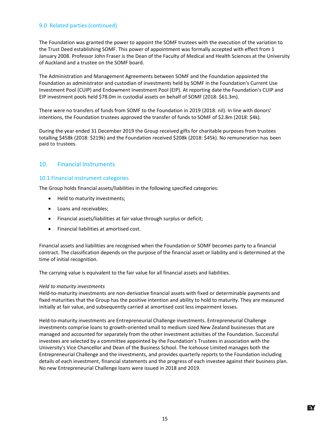## 9.0 Related parties (continued)

The Foundation was granted the power to appoint the SOMF trustees with the execution of the variation to the Trust Deed establishing SOMF. This power of appointment was formally accepted with effect from 1 January 2008. Professor John Fraser is the Dean of the Faculty of Medical and Health Sciences at the University of Auckland and a trustee on the SOMF board.

The Administration and Management Agreements between SOMF and the Foundation appointed the Foundation as administrator and custodian of investments held by SOMF in the Foundation's Current Use Investment Pool (CUIP) and Endowment Investment Pool (EIP). At reporting date the Foundation's CUIP and EIP investment pools held \$78.0m in custodial assets on behalf of SOMF (2018: \$61.3m).

There were no transfers of funds from SOMF to the Foundation in 2019 (2018: nil). In line with donors' intentions, the Foundation trustees approved the transfer of funds to SOMF of \$2.8m (2018: \$4k).

During the year ended 31 December 2019 the Group received gifts for charitable purposes from trustees totalling \$458k (2018: \$219k) and the Foundation received \$208k (2018: \$45k). No remuneration has been paid to trustees.

## 10. Financial Instruments

## 10.1 Financial instrument categories

The Group holds financial assets/liabilities in the following specified categories:

- Held to maturity investments;
- Loans and receivables;
- Financial assets/liabilities at fair value through surplus or deficit;
- Financial liabilities at amortised cost.

Financial assets and liabilities are recognised when the Foundation or SOMF becomes party to a financial contract. The classification depends on the purpose of the financial asset or liability and is determined at the time of initial recognition.

The carrying value is equivalent to the fair value for all financial assets and liabilities.

## *Held to maturity investments*

Held-to-maturity investments are non-derivative financial assets with fixed or determinable payments and fixed maturities that the Group has the positive intention and ability to hold to maturity. They are measured initially at fair value, and subsequently carried at amortised cost less impairment losses.

Held-to-maturity investments are Entrepreneurial Challenge investments. Entrepreneurial Challenge investments comprise loans to growth‐oriented small to medium sized New Zealand businesses that are managed and accounted for separately from the other investment activities of the Foundation. Successful investees are selected by a committee appointed by the Foundation's Trustees in association with the University's Vice Chancellor and Dean of the Business School. The Icehouse Limited manages both the Entrepreneurial Challenge and the investments, and provides quarterly reports to the Foundation including details of each investment, financial statements and the progress of each investee against their business plan. No new Entrepreneurial Challenge loans were issued in 2018 and 2019.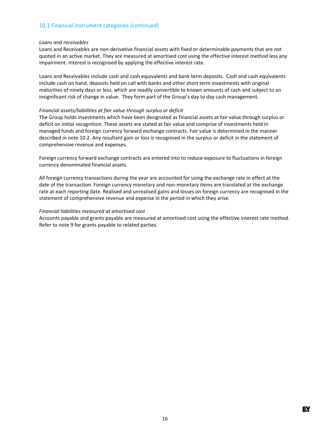## 10.1 Financial instrument categories (continued)

#### *Loans and receivables*

Loans and Receivables are non‐derivative financial assets with fixed or determinable payments that are not quoted in an active market. They are measured at amortised cost using the effective interest method less any impairment. Interest is recognised by applying the effective interest rate.

Loans and Receivables include cash and cash equivalents and bank term deposits. Cash and cash equivalents include cash on hand, deposits held on call with banks and other short term investments with original maturities of ninety days or less, which are readily convertible to known amounts of cash and subject to an insignificant risk of change in value. They form part of the Group's day to day cash management.

#### *Financial assets/liabilities at fair value through surplus or deficit*

The Group holds investments which have been designated as financial assets at fair value through surplus or deficit on initial recognition. These assets are stated at fair value and comprise of investments held in managed funds and foreign currency forward exchange contracts. Fair value is determined in the manner described in note 10.2. Any resultant gain or loss is recognised in the surplus or deficit in the statement of comprehensive revenue and expenses.

Foreign currency forward exchange contracts are entered into to reduce exposure to fluctuations in foreign currency denominated financial assets.

All foreign currency transactions during the year are accounted for using the exchange rate in effect at the date of the transaction. Foreign currency monetary and non‐monetary items are translated at the exchange rate at each reporting date. Realised and unrealised gains and losses on foreign currency are recognised in the statement of comprehensive revenue and expense in the period in which they arise.

#### *Financial liabilities measured at amortised cost*

Accounts payable and grants payable are measured at amortised cost using the effective interest rate method. Refer to note 9 for grants payable to related parties.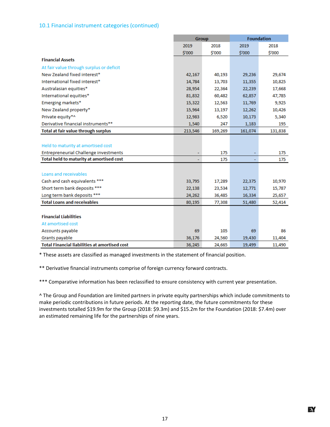## 10.1 Financial instrument categories (continued)

|                                                      | <b>Group</b> |         | <b>Foundation</b> |         |
|------------------------------------------------------|--------------|---------|-------------------|---------|
|                                                      | 2019<br>2018 |         | 2019              | 2018    |
|                                                      | \$'000       | \$'000  | \$'000            | \$'000  |
| <b>Financial Assets</b>                              |              |         |                   |         |
| At fair value through surplus or deficit             |              |         |                   |         |
| New Zealand fixed interest*                          | 42,167       | 40,193  | 29,236            | 29,674  |
| International fixed interest*                        | 14,784       | 13,703  | 11,355            | 10,825  |
| Australasian equities*                               | 28,954       | 22,364  | 22,239            | 17,668  |
| International equities*                              | 81,832       | 60,482  | 62,857            | 47,785  |
| Emerging markets*                                    | 15,322       | 12,563  | 11,769            | 9,925   |
| New Zealand property*                                | 15,964       | 13,197  | 12,262            | 10,426  |
| Private equity*^                                     | 12,983       | 6,520   | 10,173            | 5,340   |
| Derivative financial instruments**                   | 1,540        | 247     | 1,183             | 195     |
| Total at fair value through surplus                  | 213,546      | 169,269 | 161,074           | 131,838 |
|                                                      |              |         |                   |         |
| Held to maturity at amortised cost                   |              |         |                   |         |
| <b>Entrepreneurial Challenge investments</b>         |              | 175     |                   | 175     |
| Total held to maturity at amortised cost             |              | 175     |                   | 175     |
|                                                      |              |         |                   |         |
| Loans and receivables                                |              |         |                   |         |
| Cash and cash equivalents ***                        | 33,795       | 17,289  | 22,375            | 10,970  |
| Short term bank deposits ***                         | 22,138       | 23,534  | 12,771            | 15,787  |
| Long term bank deposits ***                          | 24,262       | 36,485  | 16,334            | 25,657  |
| <b>Total Loans and receivables</b>                   | 80,195       | 77,308  | 51,480            | 52,414  |
|                                                      |              |         |                   |         |
| <b>Financial Liabilities</b>                         |              |         |                   |         |
| At amortised cost                                    |              |         |                   |         |
| Accounts payable                                     | 69           | 105     | 69                | 86      |
| Grants payable                                       | 36,176       | 24,560  | 19,430            | 11,404  |
| <b>Total Financial liabilities at amortised cost</b> | 36,245       | 24,665  | 19,499            | 11,490  |

\* These assets are classified as managed investments in the statement of financial position.

\*\* Derivative financial instruments comprise of foreign currency forward contracts.

\*\*\* Comparative information has been reclassified to ensure consistency with current year presentation.

^ The Group and Foundation are limited partners in private equity partnerships which include commitments to make periodic contributions in future periods. At the reporting date, the future commitments for these investments totalled \$19.9m for the Group (2018: \$9.3m) and \$15.2m for the Foundation (2018: \$7.4m) over an estimated remaining life for the partnerships of nine years.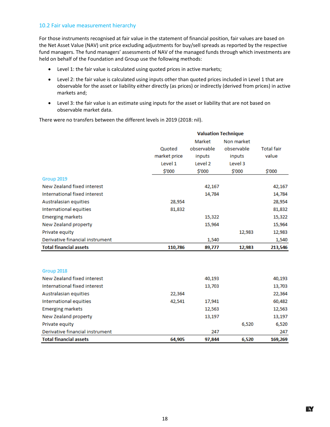## 10.2 Fair value measurement hierarchy

For those instruments recognised at fair value in the statement of financial position, fair values are based on the Net Asset Value (NAV) unit price excluding adjustments for buy/sell spreads as reported by the respective fund managers. The fund managers' assessments of NAV of the managed funds through which investments are held on behalf of the Foundation and Group use the following methods:

- Level 1: the fair value is calculated using quoted prices in active markets;
- Level 2: the fair value is calculated using inputs other than quoted prices included in Level 1 that are observable for the asset or liability either directly (as prices) or indirectly (derived from prices) in active markets and;
- Level 3: the fair value is an estimate using inputs for the asset or liability that are not based on observable market data.

There were no transfers between the different levels in 2019 (2018: nil).

|                                 | <b>Valuation Technique</b> |            |            |                   |
|---------------------------------|----------------------------|------------|------------|-------------------|
|                                 |                            | Market     | Non market |                   |
|                                 | Quoted                     | observable | observable | <b>Total fair</b> |
|                                 | market price               | inputs     | inputs     | value             |
|                                 | Level 1                    | Level 2    | Level 3    |                   |
|                                 | \$'000                     | \$'000     | \$'000     | \$'000            |
| Group 2019                      |                            |            |            |                   |
| New Zealand fixed interest      |                            | 42,167     |            | 42,167            |
| International fixed interest    |                            | 14,784     |            | 14,784            |
| Australasian equities           | 28,954                     |            |            | 28,954            |
| International equities          | 81,832                     |            |            | 81,832            |
| <b>Emerging markets</b>         |                            | 15,322     |            | 15,322            |
| New Zealand property            |                            | 15,964     |            | 15,964            |
| Private equity                  |                            |            | 12,983     | 12,983            |
| Derivative financial instrument |                            | 1,540      |            | 1,540             |
| <b>Total financial assets</b>   | 110,786                    | 89,777     | 12,983     | 213,546           |
|                                 |                            |            |            |                   |
|                                 |                            |            |            |                   |
| Group 2018                      |                            |            |            |                   |
| New Zealand fixed interest      |                            | 40,193     |            | 40,193            |
| International fixed interest    |                            | 13,703     |            | 13,703            |
| Australasian equities           | 22,364                     |            |            | 22,364            |
| International equities          | 42,541                     | 17,941     |            | 60,482            |
| <b>Emerging markets</b>         |                            | 12,563     |            | 12,563            |
| New Zealand property            |                            | 13,197     |            | 13,197            |
| Private equity                  |                            |            | 6,520      | 6,520             |
| Derivative financial instrument |                            | 247        |            | 247               |
| <b>Total financial assets</b>   | 64,905                     | 97,844     | 6,520      | 169,269           |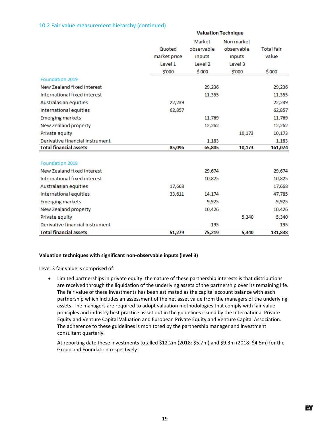## 10.2 Fair value measurement hierarchy (continued)

|                                 | <b>valuation rechnique</b>        |                                           |                                               |                            |
|---------------------------------|-----------------------------------|-------------------------------------------|-----------------------------------------------|----------------------------|
|                                 | Quoted<br>market price<br>Level 1 | Market<br>observable<br>inputs<br>Level 2 | Non market<br>observable<br>inputs<br>Level 3 | <b>Total fair</b><br>value |
|                                 | \$'000                            | \$'000                                    | \$'000                                        | \$'000                     |
| Foundation 2019                 |                                   |                                           |                                               |                            |
| New Zealand fixed interest      |                                   | 29,236                                    |                                               | 29,236                     |
| International fixed interest    |                                   | 11,355                                    |                                               | 11,355                     |
| Australasian equities           | 22,239                            |                                           |                                               | 22,239                     |
| International equities          | 62,857                            |                                           |                                               | 62,857                     |
| <b>Emerging markets</b>         |                                   | 11,769                                    |                                               | 11,769                     |
| New Zealand property            |                                   | 12,262                                    |                                               | 12,262                     |
| Private equity                  |                                   |                                           | 10,173                                        | 10,173                     |
| Derivative financial instrument |                                   | 1,183                                     |                                               | 1,183                      |
| <b>Total financial assets</b>   | 85,096                            | 65,805                                    | 10,173                                        | 161,074                    |
|                                 |                                   |                                           |                                               |                            |
| Foundation 2018                 |                                   |                                           |                                               |                            |
| New Zealand fixed interest      |                                   | 29,674                                    |                                               | 29,674                     |
| International fixed interest    |                                   | 10,825                                    |                                               | 10,825                     |
| Australasian equities           | 17,668                            |                                           |                                               | 17,668                     |
| International equities          | 33,611                            | 14,174                                    |                                               | 47,785                     |
| <b>Emerging markets</b>         |                                   | 9,925                                     |                                               | 9,925                      |
| New Zealand property            |                                   | 10,426                                    |                                               | 10,426                     |
| Private equity                  |                                   |                                           | 5,340                                         | 5,340                      |
| Derivative financial instrument |                                   | 195                                       |                                               | 195                        |
| <b>Total financial assets</b>   | 51,279                            | 75,219                                    | 5.340                                         | 131,838                    |

**Material Service State Manager** 

## **Valuation techniques with significant non‐observable inputs (level 3)**

Level 3 fair value is comprised of:

 Limited partnerships in private equity: the nature of these partnership interests is that distributions are received through the liquidation of the underlying assets of the partnership over its remaining life. The fair value of these investments has been estimated as the capital account balance with each partnership which includes an assessment of the net asset value from the managers of the underlying assets. The managers are required to adopt valuation methodologies that comply with fair value principles and industry best practice as set out in the guidelines issued by the International Private Equity and Venture Capital Valuation and European Private Equity and Venture Capital Association. The adherence to these guidelines is monitored by the partnership manager and investment consultant quarterly.

At reporting date these investments totalled \$12.2m (2018: \$5.7m) and \$9.3m (2018: \$4.5m) for the Group and Foundation respectively.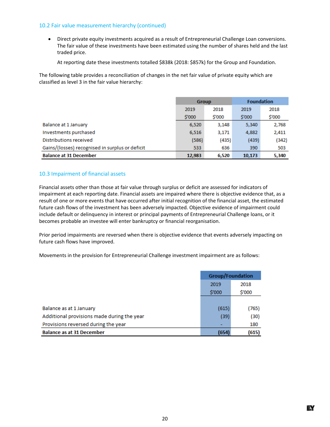## 10.2 Fair value measurement hierarchy (continued)

 Direct private equity investments acquired as a result of Entrepreneurial Challenge Loan conversions. The fair value of these investments have been estimated using the number of shares held and the last traded price.

At reporting date these investments totalled \$838k (2018: \$857k) for the Group and Foundation.

The following table provides a reconciliation of changes in the net fair value of private equity which are classified as level 3 in the fair value hierarchy:

|                                                 | <b>Group</b> |        | <b>Foundation</b> |        |
|-------------------------------------------------|--------------|--------|-------------------|--------|
|                                                 | 2019         | 2018   | 2019              | 2018   |
|                                                 | \$'000       | \$'000 | \$'000            | \$'000 |
| Balance at 1 January                            | 6,520        | 3,148  | 5,340             | 2,768  |
| Investments purchased                           | 6,516        | 3,171  | 4,882             | 2,411  |
| Distributions received                          | (586)        | (435)  | (439)             | (342)  |
| Gains/(losses) recognised in surplus or deficit | 533          | 636    | 390               | 503    |
| <b>Balance at 31 December</b>                   | 12,983       | 6,520  | 10,173            | 5,340  |

## 10.3 Impairment of financial assets

Financial assets other than those at fair value through surplus or deficit are assessed for indicators of impairment at each reporting date. Financial assets are impaired where there is objective evidence that, as a result of one or more events that have occurred after initial recognition of the financial asset, the estimated future cash flows of the investment has been adversely impacted. Objective evidence of impairment could include default or delinquency in interest or principal payments of Entrepreneurial Challenge loans, or it becomes probable an investee will enter bankruptcy or financial reorganisation.

Prior period impairments are reversed when there is objective evidence that events adversely impacting on future cash flows have improved.

Movements in the provision for Entrepreneurial Challenge investment impairment are as follows:

|                                            | <b>Group/Foundation</b> |        |
|--------------------------------------------|-------------------------|--------|
|                                            | 2019                    | 2018   |
|                                            | \$'000                  | \$'000 |
|                                            |                         |        |
| Balance as at 1 January                    | (615)                   | (765)  |
| Additional provisions made during the year | (39)                    | (30)   |
| Provisions reversed during the year        |                         | 180    |
| <b>Balance as at 31 December</b>           | (654)                   | (615)  |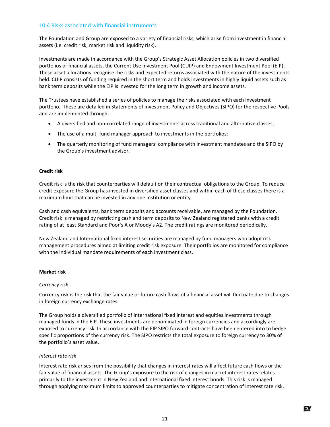## 10.4 Risks associated with financial instruments

The Foundation and Group are exposed to a variety of financial risks, which arise from investment in financial assets (i.e. credit risk, market risk and liquidity risk).

Investments are made in accordance with the Group's Strategic Asset Allocation policies in two diversified portfolios of financial assets, the Current Use Investment Pool (CUIP) and Endowment Investment Pool (EIP). These asset allocations recognise the risks and expected returns associated with the nature of the investments held. CUIP consists of funding required in the short term and holds investments in highly liquid assets such as bank term deposits while the EIP is invested for the long term in growth and income assets.

The Trustees have established a series of policies to manage the risks associated with each investment portfolio. These are detailed in Statements of Investment Policy and Objectives (SIPO) for the respective Pools and are implemented through:

- A diversified and non-correlated range of investments across traditional and alternative classes;
- The use of a multi-fund manager approach to investments in the portfolios;
- The quarterly monitoring of fund managers' compliance with investment mandates and the SIPO by the Group's investment advisor.

## **Credit risk**

Credit risk is the risk that counterparties will default on their contractual obligations to the Group. To reduce credit exposure the Group has invested in diversified asset classes and within each of these classes there is a maximum limit that can be invested in any one institution or entity.

Cash and cash equivalents, bank term deposits and accounts receivable, are managed by the Foundation. Credit risk is managed by restricting cash and term deposits to New Zealand registered banks with a credit rating of at least Standard and Poor's A or Moody's A2. The credit ratings are monitored periodically.

New Zealand and International fixed interest securities are managed by fund managers who adopt risk management procedures aimed at limiting credit risk exposure. Their portfolios are monitored for compliance with the individual mandate requirements of each investment class.

## **Market risk**

#### *Currency risk*

Currency risk is the risk that the fair value or future cash flows of a financial asset will fluctuate due to changes in foreign currency exchange rates.

The Group holds a diversified portfolio of international fixed interest and equities investments through managed funds in the EIP. These investments are denominated in foreign currencies and accordingly are exposed to currency risk. In accordance with the EIP SIPO forward contracts have been entered into to hedge specific proportions of the currency risk. The SIPO restricts the total exposure to foreign currency to 30% of the portfolio's asset value.

#### *Interest rate risk*

Interest rate risk arises from the possibility that changes in interest rates will affect future cash flows or the fair value of financial assets. The Group's exposure to the risk of changes in market interest rates relates primarily to the investment in New Zealand and international fixed interest bonds. This risk is managed through applying maximum limits to approved counterparties to mitigate concentration of interest rate risk.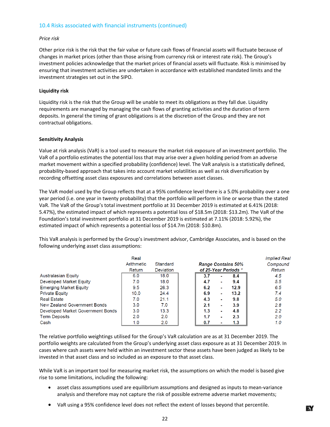## 10.4 Risks associated with financial instruments (continued)

## *Price risk*

Other price risk is the risk that the fair value or future cash flows of financial assets will fluctuate because of changes in market prices (other than those arising from currency risk or interest rate risk). The Group's investment policies acknowledge that the market prices of financial assets will fluctuate. Risk is minimised by ensuring that investment activities are undertaken in accordance with established mandated limits and the investment strategies set out in the SIPO.

## **Liquidity risk**

Liquidity risk is the risk that the Group will be unable to meet its obligations as they fall due. Liquidity requirements are managed by managing the cash flows of granting activities and the duration of term deposits. In general the timing of grant obligations is at the discretion of the Group and they are not contractual obligations.

## **Sensitivity Analysis**

Cash

Value at risk analysis (VaR) is a tool used to measure the market risk exposure of an investment portfolio. The VaR of a portfolio estimates the potential loss that may arise over a given holding period from an adverse market movement within a specified probability (confidence) level. The VaR analysis is a statistically defined, probability‐based approach that takes into account market volatilities as well as risk diversification by recording offsetting asset class exposures and correlations between asset classes.

The VaR model used by the Group reflects that at a 95% confidence level there is a 5.0% probability over a one year period (i.e. one year in twenty probability) that the portfolio will perform in line or worse than the stated VaR. The VaR of the Group's total investment portfolio at 31 December 2019 is estimated at 6.41% (2018: 5.47%), the estimated impact of which represents a potential loss of \$18.5m (2018: \$13.2m). The VaR of the Foundation's total investment portfolio at 31 December 2019 is estimated at 7.11% (2018: 5.92%), the estimated impact of which represents a potential loss of \$14.7m (2018: \$10.8m).

Real **Implied Real** Arithmetic Standard **Range Contains 50%** Compound of 25-Year Periods<sup>1</sup> Return Deviation Return **Australasian Equity**  $6.0$ 18.0  $\overline{3.7}$  $8.4$  $4.5$ **Developed Market Equity**  $7.0$ 18.0  $4.7$  $9.4$  $5.5$ ä, 26.3  $6.5$ **Emerging Market Equity**  $9.5$  $6.2$  $\blacksquare$ 12.9  $7.4$ **Private Equity**  $10.0$ 24.4  $6.9$ ä,  $13.2$ **Real Estate**  $7.0$  $21.1$  $4.3$  $9.8$  $5.0$ ä, New Zealand Government Bonds 30  $70$  $2.1$ 39  $28$ Developed Market Government Bonds  $3.0$  $13.3$  $1.3$ 4.8  $2.2$  $2.0$ **Term Deposits**  $2.0$  $2.0$  $1.7$  $2.3$ 

This VaR analysis is performed by the Group's investment advisor, Cambridge Associates, and is based on the following underlying asset class assumptions:

The relative portfolio weightings utilised for the Group's VaR calculation are as at 31 December 2019. The portfolio weights are calculated from the Group's underlying asset class exposure as at 31 December 2019. In cases where cash assets were held within an investment sector these assets have been judged as likely to be invested in that asset class and so included as an exposure to that asset class.

 $2.0$ 

 $0.7$ 

 $1.3$ 

 $1.0$ 

 $1.0$ 

While VaR is an important tool for measuring market risk, the assumptions on which the model is based give rise to some limitations, including the following:

- asset class assumptions used are equilibrium assumptions and designed as inputs to mean‐variance analysis and therefore may not capture the risk of possible extreme adverse market movements;
- VaR using a 95% confidence level does not reflect the extent of losses beyond that percentile.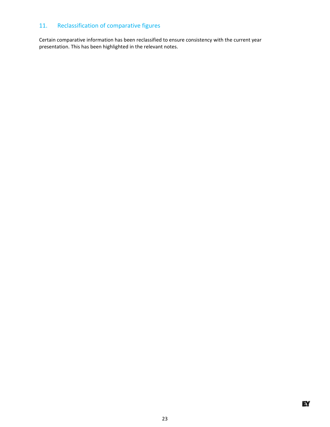# 11. Reclassification of comparative figures

Certain comparative information has been reclassified to ensure consistency with the current year presentation. This has been highlighted in the relevant notes.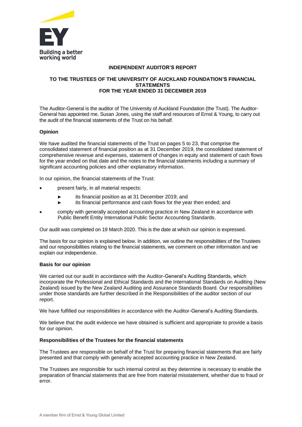

## **INDEPENDENT AUDITOR'S REPORT**

## **TO THE TRUSTEES OF THE UNIVERSITY OF AUCKLAND FOUNDATION'S FINANCIAL STATEMENTS FOR THE YEAR ENDED 31 DECEMBER 2019**

The Auditor-General is the auditor of The University of Auckland Foundation (the Trust). The Auditor-General has appointed me, Susan Jones, using the staff and resources of Ernst & Young, to carry out the audit of the financial statements of the Trust on his behalf.

## **Opinion**

We have audited the financial statements of the Trust on pages 5 to 23, that comprise the consolidated statement of financial position as at 31 December 2019, the consolidated statement of comprehensive revenue and expenses, statement of changes in equity and statement of cash flows for the year ended on that date and the notes to the financial statements including a summary of significant accounting policies and other explanatory information.

In our opinion, the financial statements of the Trust:

- present fairly, in all material respects:
	- ► its financial position as at 31 December 2019; and
	- ► its financial performance and cash flows for the year then ended; and
- comply with generally accepted accounting practice in New Zealand in accordance with Public Benefit Entity International Public Sector Accounting Standards.

Our audit was completed on 19 March 2020. This is the date at which our opinion is expressed.

The basis for our opinion is explained below. In addition, we outline the responsibilities of the Trustees and our responsibilities relating to the financial statements, we comment on other information and we explain our independence.

## **Basis for our opinion**

We carried out our audit in accordance with the Auditor-General's Auditing Standards, which incorporate the Professional and Ethical Standards and the International Standards on Auditing (New Zealand) issued by the New Zealand Auditing and Assurance Standards Board. Our responsibilities under those standards are further described in the Responsibilities of the auditor section of our report.

We have fulfilled our responsibilities in accordance with the Auditor-General's Auditing Standards.

We believe that the audit evidence we have obtained is sufficient and appropriate to provide a basis for our opinion.

## **Responsibilities of the Trustees for the financial statements**

The Trustees are responsible on behalf of the Trust for preparing financial statements that are fairly presented and that comply with generally accepted accounting practice in New Zealand.

The Trustees are responsible for such internal control as they determine is necessary to enable the preparation of financial statements that are free from material misstatement, whether due to fraud or error.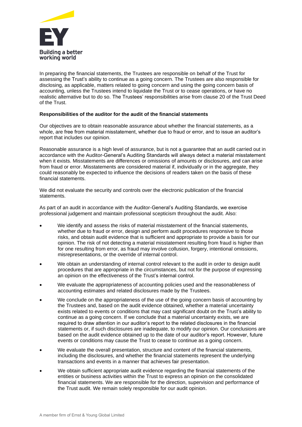

In preparing the financial statements, the Trustees are responsible on behalf of the Trust for assessing the Trust's ability to continue as a going concern. The Trustees are also responsible for disclosing, as applicable, matters related to going concern and using the going concern basis of accounting, unless the Trustees intend to liquidate the Trust or to cease operations, or have no realistic alternative but to do so. The Trustees' responsibilities arise from clause 20 of the Trust Deed of the Trust.

## **Responsibilities of the auditor for the audit of the financial statements**

Our objectives are to obtain reasonable assurance about whether the financial statements, as a whole, are free from material misstatement, whether due to fraud or error, and to issue an auditor's report that includes our opinion.

Reasonable assurance is a high level of assurance, but is not a guarantee that an audit carried out in accordance with the Auditor-General's Auditing Standards will always detect a material misstatement when it exists. Misstatements are differences or omissions of amounts or disclosures, and can arise from fraud or error. Misstatements are considered material if, individually or in the aggregate, they could reasonably be expected to influence the decisions of readers taken on the basis of these financial statements.

We did not evaluate the security and controls over the electronic publication of the financial statements.

As part of an audit in accordance with the Auditor-General's Auditing Standards, we exercise professional judgement and maintain professional scepticism throughout the audit. Also:

- We identify and assess the risks of material misstatement of the financial statements, whether due to fraud or error, design and perform audit procedures responsive to those risks, and obtain audit evidence that is sufficient and appropriate to provide a basis for our opinion. The risk of not detecting a material misstatement resulting from fraud is higher than for one resulting from error, as fraud may involve collusion, forgery, intentional omissions, misrepresentations, or the override of internal control.
- We obtain an understanding of internal control relevant to the audit in order to design audit procedures that are appropriate in the circumstances, but not for the purpose of expressing an opinion on the effectiveness of the Trust's internal control.
- We evaluate the appropriateness of accounting policies used and the reasonableness of accounting estimates and related disclosures made by the Trustees.
- We conclude on the appropriateness of the use of the going concern basis of accounting by the Trustees and, based on the audit evidence obtained, whether a material uncertainty exists related to events or conditions that may cast significant doubt on the Trust's ability to continue as a going concern. If we conclude that a material uncertainty exists, we are required to draw attention in our auditor's report to the related disclosures in the financial statements or, if such disclosures are inadequate, to modify our opinion. Our conclusions are based on the audit evidence obtained up to the date of our auditor's report. However, future events or conditions may cause the Trust to cease to continue as a going concern.
- We evaluate the overall presentation, structure and content of the financial statements, including the disclosures, and whether the financial statements represent the underlying transactions and events in a manner that achieves fair presentation.
- We obtain sufficient appropriate audit evidence regarding the financial statements of the entities or business activities within the Trust to express an opinion on the consolidated financial statements. We are responsible for the direction, supervision and performance of the Trust audit. We remain solely responsible for our audit opinion.